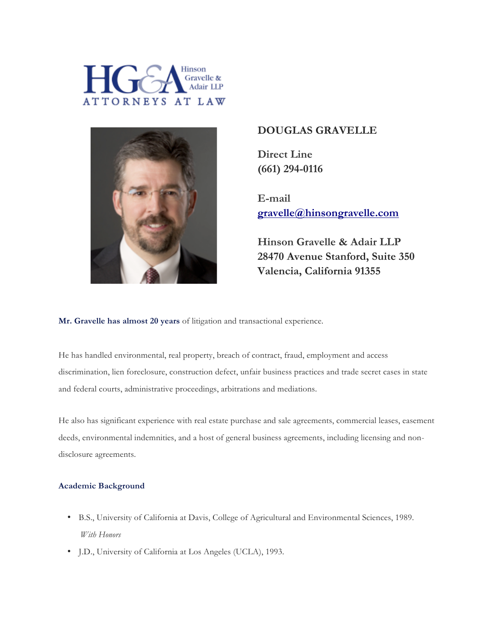



# **DOUGLAS GRAVELLE**

**Direct Line (661) 294-0116**

**E-mail gravelle@hinsongravelle.com**

**Hinson Gravelle & Adair LLP 28470 Avenue Stanford, Suite 350 Valencia, California 91355**

**Mr. Gravelle has almost 20 years** of litigation and transactional experience.

He has handled environmental, real property, breach of contract, fraud, employment and access discrimination, lien foreclosure, construction defect, unfair business practices and trade secret cases in state and federal courts, administrative proceedings, arbitrations and mediations.

He also has significant experience with real estate purchase and sale agreements, commercial leases, easement deeds, environmental indemnities, and a host of general business agreements, including licensing and nondisclosure agreements.

## **Academic Background**

- B.S., University of California at Davis, College of Agricultural and Environmental Sciences, 1989. *With Honors*
- J.D., University of California at Los Angeles (UCLA), 1993.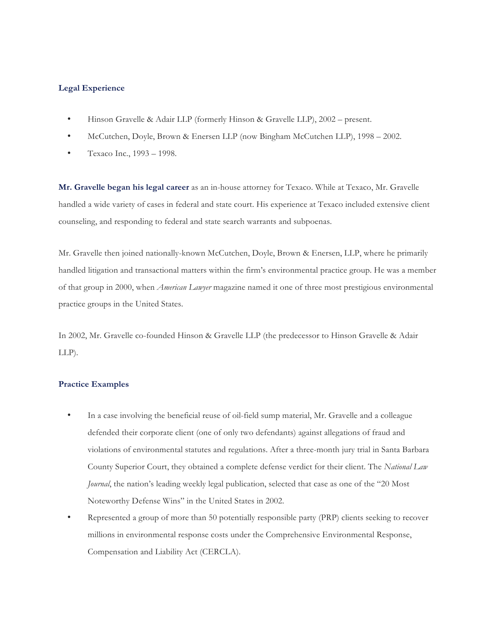### **Legal Experience**

- Hinson Gravelle & Adair LLP (formerly Hinson & Gravelle LLP), 2002 present.
- McCutchen, Doyle, Brown & Enersen LLP (now Bingham McCutchen LLP), 1998 2002.
- Texaco Inc., 1993 1998.

**Mr. Gravelle began his legal career** as an in-house attorney for Texaco. While at Texaco, Mr. Gravelle handled a wide variety of cases in federal and state court. His experience at Texaco included extensive client counseling, and responding to federal and state search warrants and subpoenas.

Mr. Gravelle then joined nationally-known McCutchen, Doyle, Brown & Enersen, LLP, where he primarily handled litigation and transactional matters within the firm's environmental practice group. He was a member of that group in 2000, when *American Lawyer* magazine named it one of three most prestigious environmental practice groups in the United States.

In 2002, Mr. Gravelle co-founded Hinson & Gravelle LLP (the predecessor to Hinson Gravelle & Adair LLP).

#### **Practice Examples**

- In a case involving the beneficial reuse of oil-field sump material, Mr. Gravelle and a colleague defended their corporate client (one of only two defendants) against allegations of fraud and violations of environmental statutes and regulations. After a three-month jury trial in Santa Barbara County Superior Court, they obtained a complete defense verdict for their client. The *National Law Journal*, the nation's leading weekly legal publication, selected that case as one of the "20 Most" Noteworthy Defense Wins" in the United States in 2002.
- Represented a group of more than 50 potentially responsible party (PRP) clients seeking to recover millions in environmental response costs under the Comprehensive Environmental Response, Compensation and Liability Act (CERCLA).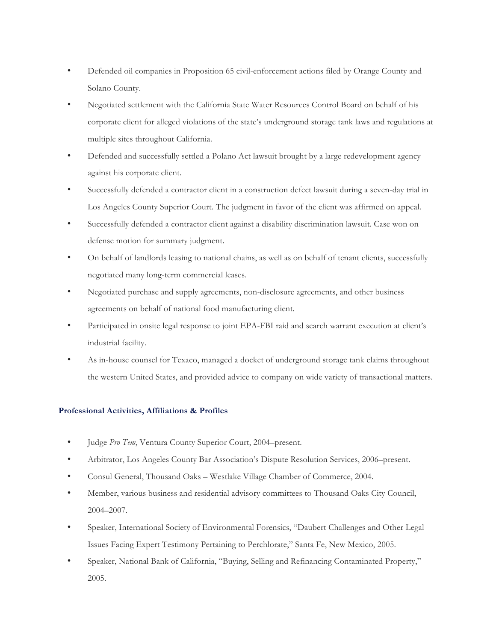- Defended oil companies in Proposition 65 civil-enforcement actions filed by Orange County and Solano County.
- Negotiated settlement with the California State Water Resources Control Board on behalf of his corporate client for alleged violations of the state's underground storage tank laws and regulations at multiple sites throughout California.
- Defended and successfully settled a Polano Act lawsuit brought by a large redevelopment agency against his corporate client.
- Successfully defended a contractor client in a construction defect lawsuit during a seven-day trial in Los Angeles County Superior Court. The judgment in favor of the client was affirmed on appeal.
- Successfully defended a contractor client against a disability discrimination lawsuit. Case won on defense motion for summary judgment.
- On behalf of landlords leasing to national chains, as well as on behalf of tenant clients, successfully negotiated many long-term commercial leases.
- Negotiated purchase and supply agreements, non-disclosure agreements, and other business agreements on behalf of national food manufacturing client.
- Participated in onsite legal response to joint EPA-FBI raid and search warrant execution at client's industrial facility.
- As in-house counsel for Texaco, managed a docket of underground storage tank claims throughout the western United States, and provided advice to company on wide variety of transactional matters.

## **Professional Activities, Affiliations & Profiles**

- Judge *Pro Tem*, Ventura County Superior Court, 2004–present.
- Arbitrator, Los Angeles County Bar Association's Dispute Resolution Services, 2006–present.
- Consul General, Thousand Oaks Westlake Village Chamber of Commerce, 2004.
- Member, various business and residential advisory committees to Thousand Oaks City Council, 2004–2007.
- Speaker, International Society of Environmental Forensics, "Daubert Challenges and Other Legal Issues Facing Expert Testimony Pertaining to Perchlorate," Santa Fe, New Mexico, 2005.
- Speaker, National Bank of California, "Buying, Selling and Refinancing Contaminated Property," 2005.